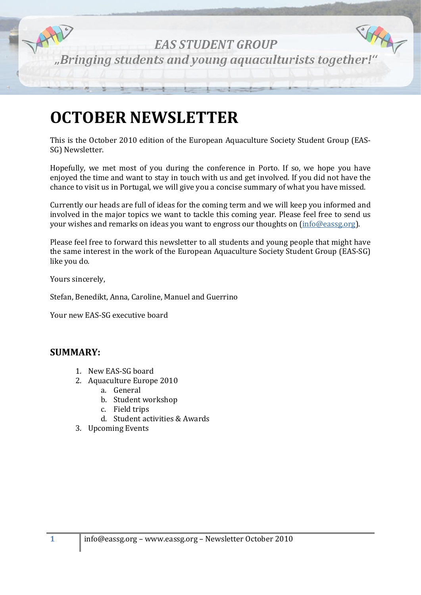

# **OCTOBER NEWSLETTER**

This is the October 2010 edition of the European Aquaculture Society Student Group (EAS-SG) Newsletter.

Hopefully, we met most of you during the conference in Porto. If so, we hope you have enjoyed the time and want to stay in touch with us and get involved. If you did not have the chance to visit us in Portugal, we will give you a concise summary of what you have missed.

Currently our heads are full of ideas for the coming term and we will keep you informed and involved in the major topics we want to tackle this coming year. Please feel free to send us your wishes and remarks on ideas you want to engross our thoughts on [\(info@eassg.org\)](mailto:info@eassg.org).

Please feel free to forward this newsletter to all students and young people that might have the same interest in the work of the European Aquaculture Society Student Group (EAS-SG) like you do.

Yours sincerely,

Stefan, Benedikt, Anna, Caroline, Manuel and Guerrino

Your new EAS-SG executive board

# **SUMMARY:**

- 1. New EAS-SG board
- 2. Aquaculture Europe 2010
	- a. General
	- b. Student workshop
	- c. Field trips
	- d. Student activities & Awards
- 3. Upcoming Events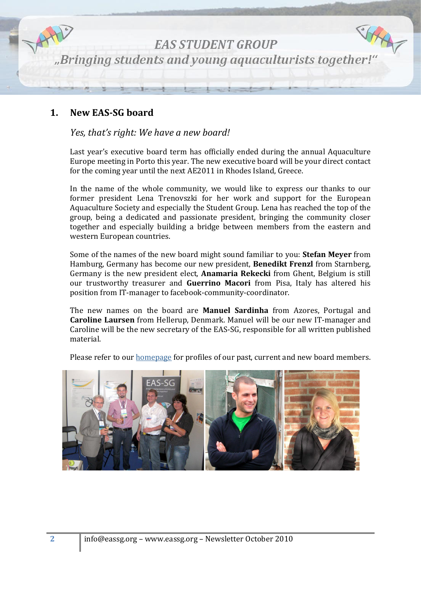

# **1. New EAS-SG board**

### *Yes, that's right: We have a new board!*

Last year's executive board term has officially ended during the annual Aquaculture Europe meeting in Porto this year. The new executive board will be your direct contact for the coming year until the next AE2011 in Rhodes Island, Greece.

In the name of the whole community, we would like to express our thanks to our former president Lena Trenovszki for her work and support for the European Aquaculture Society and especially the Student Group. Lena has reached the top of the group, being a dedicated and passionate president, bringing the community closer together and especially building a bridge between members from the eastern and western European countries.

Some of the names of the new board might sound familiar to you: **Stefan Meyer** from Hamburg, Germany has become our new president, **Benedikt Frenzl** from Starnberg, Germany is the new president elect, **Anamaria Rekecki** from Ghent, Belgium is still our trustworthy treasurer and **Guerrino Macori** from Pisa, Italy has altered his position from IT-manager to facebook-community-coordinator.

The new names on the board are **Manuel Sardinha** from Azores, Portugal and **Caroline Laursen** from Hellerup, Denmark. Manuel will be our new IT-manager and Caroline will be the new secretary of the EAS-SG, responsible for all written published material.

Please refer to our [homepage](http://www.eassg.org/index.php?option=com_content&view=category&layout=blog&id=52&Itemid=54) for profiles of our past, current and new board members.

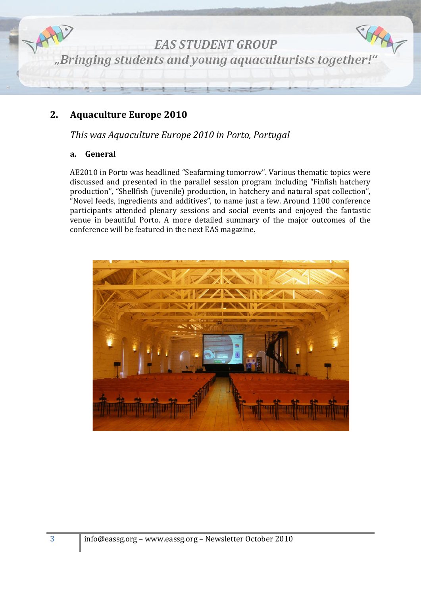

# **2. Aquaculture Europe 2010**

*This was Aquaculture Europe 2010 in Porto, Portugal*

#### **a. General**

AE2010 in Porto was headlined "Seafarming tomorrow". Various thematic topics were discussed and presented in the parallel session program including "Finfish hatchery production", "Shellfish (juvenile) production, in hatchery and natural spat collection", "Novel feeds, ingredients and additives", to name just a few. Around 1100 conference participants attended plenary sessions and social events and enjoyed the fantastic venue in beautiful Porto. A more detailed summary of the major outcomes of the conference will be featured in the next EAS magazine.

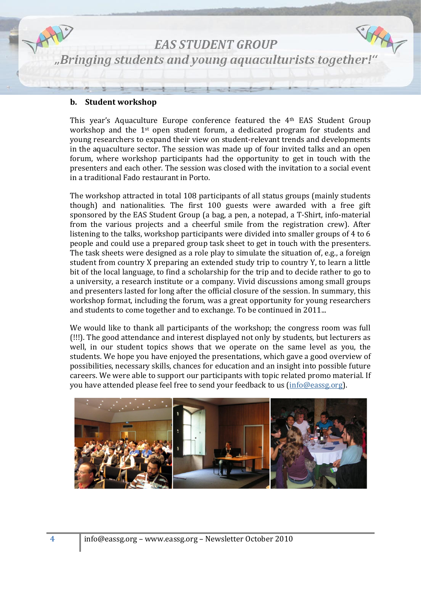

SHAR **EAS STUDENT GROUP** "Bringing students and young aquaculturists together!"

#### **b. Student workshop**

This year's Aquaculture Europe conference featured the 4th EAS Student Group workshop and the 1st open student forum, a dedicated program for students and young researchers to expand their view on student-relevant trends and developments in the aquaculture sector. The session was made up of four invited talks and an open forum, where workshop participants had the opportunity to get in touch with the presenters and each other. The session was closed with the invitation to a social event in a traditional Fado restaurant in Porto.

The workshop attracted in total 108 participants of all status groups (mainly students though) and nationalities. The first 100 guests were awarded with a free gift sponsored by the EAS Student Group (a bag, a pen, a notepad, a T-Shirt, info-material from the various projects and a cheerful smile from the registration crew). After listening to the talks, workshop participants were divided into smaller groups of 4 to 6 people and could use a prepared group task sheet to get in touch with the presenters. The task sheets were designed as a role play to simulate the situation of, e.g., a foreign student from country X preparing an extended study trip to country Y, to learn a little bit of the local language, to find a scholarship for the trip and to decide rather to go to a university, a research institute or a company. Vivid discussions among small groups and presenters lasted for long after the official closure of the session. In summary, this workshop format, including the forum, was a great opportunity for young researchers and students to come together and to exchange. To be continued in 2011...

We would like to thank all participants of the workshop; the congress room was full (!!!). The good attendance and interest displayed not only by students, but lecturers as well, in our student topics shows that we operate on the same level as you, the students. We hope you have enjoyed the presentations, which gave a good overview of possibilities, necessary skills, chances for education and an insight into possible future careers. We were able to support our participants with topic related promo material. If you have attended please feel free to send your feedback to us [\(info@eassg.org\)](mailto:info@eassg.org).

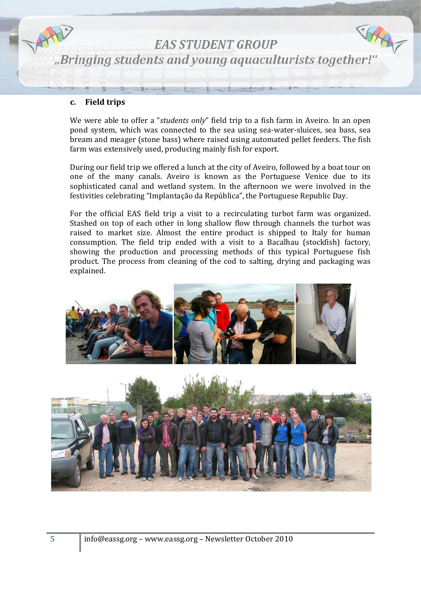

#### **c. Field trips**

We were able to offer a "*students only*" field trip to a fish farm in Aveiro. In an open pond system, which was connected to the sea using sea-water-sluices, sea bass, sea bream and meager (stone bass) where raised using automated pellet feeders. The fish farm was extensively used, producing mainly fish for export.

During our field trip we offered a lunch at the city of Aveiro, followed by a boat tour on one of the many canals. Aveiro is known as the Portuguese Venice due to its sophisticated canal and wetland system. In the afternoon we were involved in the festivities celebrating "Implantação da República", the Portuguese Republic Day.

For the official EAS field trip a visit to a recirculating turbot farm was organized. Stashed on top of each other in long shallow flow through channels the turbot was raised to market size. Almost the entire product is shipped to Italy for human consumption. The field trip ended with a visit to a Bacalhau (stockfish) factory, showing the production and processing methods of this typical Portuguese fish product. The process from cleaning of the cod to salting, drying and packaging was explained.



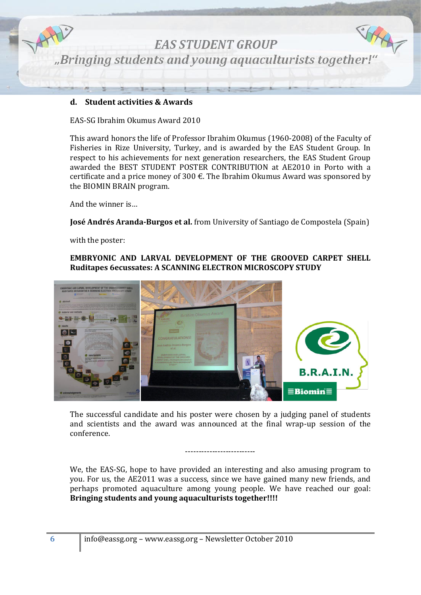

#### **d. Student activities & Awards**

EAS-SG Ibrahim Okumus Award 2010

This award honors the life of Professor Ibrahim Okumus (1960-2008) of the Faculty of Fisheries in Rize University, Turkey, and is awarded by the EAS Student Group. In respect to his achievements for next generation researchers, the EAS Student Group awarded the BEST STUDENT POSTER CONTRIBUTION at AE2010 in Porto with a certificate and a price money of 300  $\epsilon$ . The Ibrahim Okumus Award was sponsored by the BIOMIN BRAIN program.

And the winner is…

**José Andrés Aranda-Burgos et al.** from University of Santiago de Compostela (Spain)

with the poster:

#### **EMBRYONIC AND LARVAL DEVELOPMENT OF THE GROOVED CARPET SHELL Ruditapes 6ecussates: A SCANNING ELECTRON MICROSCOPY STUDY**



The successful candidate and his poster were chosen by a judging panel of students and scientists and the award was announced at the final wrap-up session of the conference.

--------------------------

We, the EAS-SG, hope to have provided an interesting and also amusing program to you. For us, the AE2011 was a success, since we have gained many new friends, and perhaps promoted aquaculture among young people. We have reached our goal: **Bringing students and young aquaculturists together!!!!**